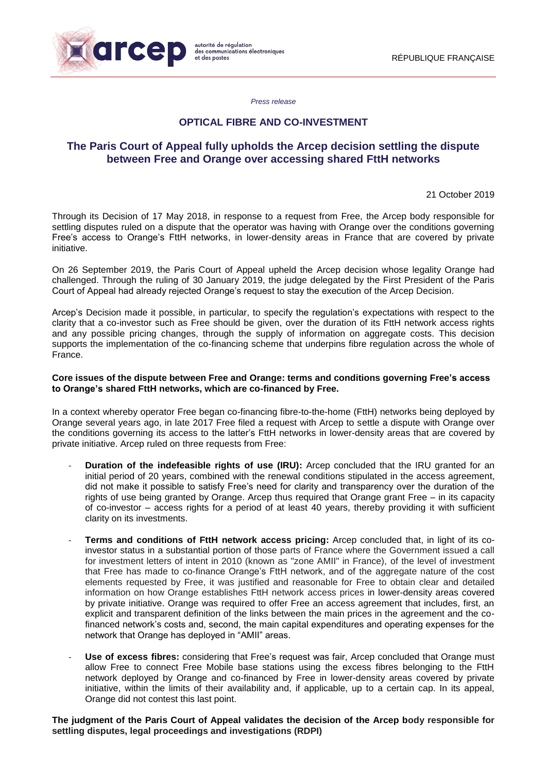

*Press release*

## **OPTICAL FIBRE AND CO-INVESTMENT**

# **The Paris Court of Appeal fully upholds the Arcep decision settling the dispute between Free and Orange over accessing shared FttH networks**

21 October 2019

Through its Decision of 17 May 2018, in response to a request from Free, the Arcep body responsible for settling disputes ruled on a dispute that the operator was having with Orange over the conditions governing Free's access to Orange's FttH networks, in lower-density areas in France that are covered by private initiative.

On 26 September 2019, the Paris Court of Appeal upheld the Arcep decision whose legality Orange had challenged. Through the ruling of 30 January 2019, the judge delegated by the First President of the Paris Court of Appeal had already rejected Orange's request to stay the execution of the Arcep Decision.

Arcep's Decision made it possible, in particular, to specify the regulation's expectations with respect to the clarity that a co-investor such as Free should be given, over the duration of its FttH network access rights and any possible pricing changes, through the supply of information on aggregate costs. This decision supports the implementation of the co-financing scheme that underpins fibre regulation across the whole of France.

### **Core issues of the dispute between Free and Orange: terms and conditions governing Free's access to Orange's shared FttH networks, which are co-financed by Free.**

In a context whereby operator Free began co-financing fibre-to-the-home (FttH) networks being deployed by Orange several years ago, in late 2017 Free filed a request with Arcep to settle a dispute with Orange over the conditions governing its access to the latter's FttH networks in lower-density areas that are covered by private initiative. Arcep ruled on three requests from Free:

- **Duration of the indefeasible rights of use (IRU):** Arcep concluded that the IRU granted for an initial period of 20 years, combined with the renewal conditions stipulated in the access agreement, did not make it possible to satisfy Free's need for clarity and transparency over the duration of the rights of use being granted by Orange. Arcep thus required that Orange grant Free – in its capacity of co-investor – access rights for a period of at least 40 years, thereby providing it with sufficient clarity on its investments.
- **Terms and conditions of FttH network access pricing:** Arcep concluded that, in light of its coinvestor status in a substantial portion of those parts of France where the Government issued a call for investment letters of intent in 2010 (known as "zone AMII" in France), of the level of investment that Free has made to co-finance Orange's FttH network, and of the aggregate nature of the cost elements requested by Free, it was justified and reasonable for Free to obtain clear and detailed information on how Orange establishes FttH network access prices in lower-density areas covered by private initiative. Orange was required to offer Free an access agreement that includes, first, an explicit and transparent definition of the links between the main prices in the agreement and the cofinanced network's costs and, second, the main capital expenditures and operating expenses for the network that Orange has deployed in "AMII" areas.
- Use of excess fibres: considering that Free's request was fair, Arcep concluded that Orange must allow Free to connect Free Mobile base stations using the excess fibres belonging to the FttH network deployed by Orange and co-financed by Free in lower-density areas covered by private initiative, within the limits of their availability and, if applicable, up to a certain cap. In its appeal, Orange did not contest this last point.

**The judgment of the Paris Court of Appeal validates the decision of the Arcep body responsible for settling disputes, legal proceedings and investigations (RDPI)**